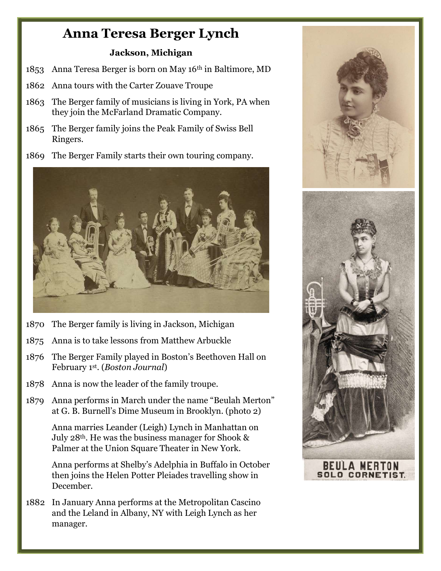## Anna Teresa Berger Lynch

## Jackson, Michigan

- 1853 Anna Teresa Berger is born on May 16th in Baltimore, MD
- 1862 Anna tours with the Carter Zouave Troupe
- 1863 The Berger family of musicians is living in York, PA when they join the McFarland Dramatic Company.
- 1865 The Berger family joins the Peak Family of Swiss Bell Ringers.
- 1869 The Berger Family starts their own touring company.



- 1870 The Berger family is living in Jackson, Michigan
- 1875 Anna is to take lessons from Matthew Arbuckle
- 1876 The Berger Family played in Boston's Beethoven Hall on February 1st. (Boston Journal)
- 1878 Anna is now the leader of the family troupe.
- 1879 Anna performs in March under the name "Beulah Merton" at G. B. Burnell's Dime Museum in Brooklyn. (photo 2)

 Anna marries Leander (Leigh) Lynch in Manhattan on July 28th. He was the business manager for Shook & Palmer at the Union Square Theater in New York.

 Anna performs at Shelby's Adelphia in Buffalo in October then joins the Helen Potter Pleiades travelling show in December.

1882 In January Anna performs at the Metropolitan Cascino and the Leland in Albany, NY with Leigh Lynch as her manager.